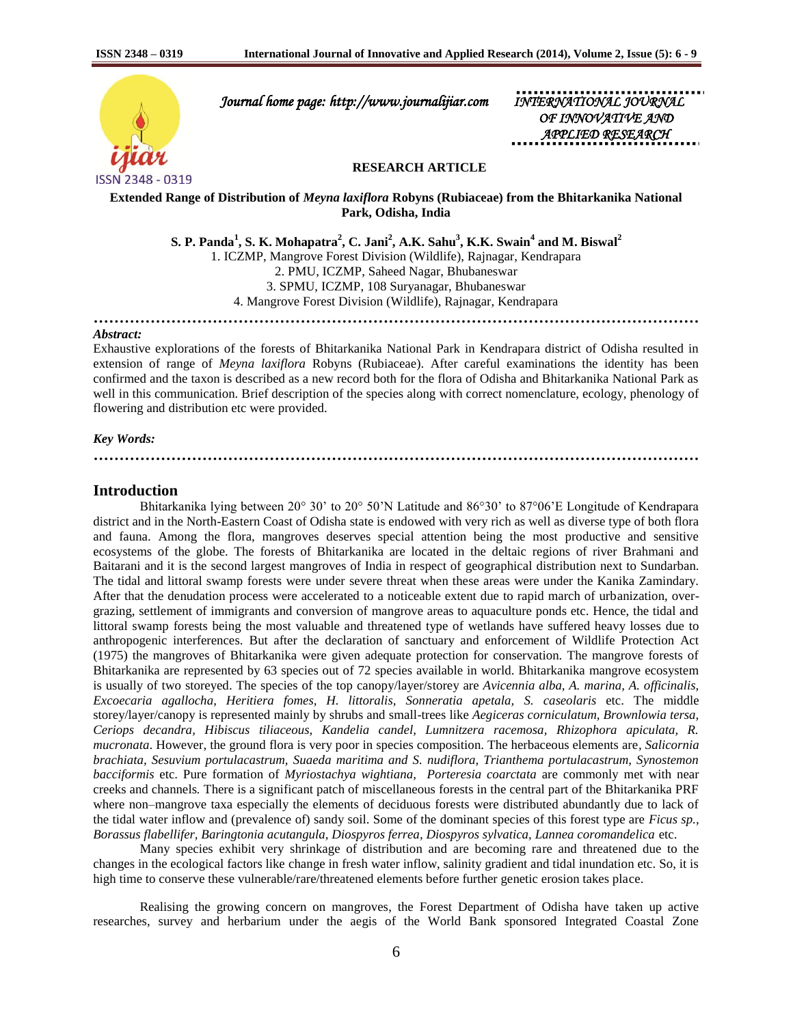**………………………………………………………………………………………………………**



 *Journal home page: http://www.journalijiar.com INTERNATIONAL JOURNAL* 

 *OF INNOVATIVE AND APPLIED RESEARCH* 

## **RESEARCH ARTICLE**

**Extended Range of Distribution of** *Meyna laxiflora* **Robyns (Rubiaceae) from the Bhitarkanika National Park, Odisha, India**

**S. P. Panda<sup>1</sup> , S. K. Mohapatra<sup>2</sup> , C. Jani<sup>2</sup> , A.K. Sahu<sup>3</sup> , K.K. Swain<sup>4</sup> and M. Biswal<sup>2</sup>** 1. ICZMP, Mangrove Forest Division (Wildlife), Rajnagar, Kendrapara 2. PMU, ICZMP, Saheed Nagar, Bhubaneswar 3. SPMU, ICZMP, 108 Suryanagar, Bhubaneswar 4. Mangrove Forest Division (Wildlife), Rajnagar, Kendrapara

#### *Abstract:*

Exhaustive explorations of the forests of Bhitarkanika National Park in Kendrapara district of Odisha resulted in extension of range of *Meyna laxiflora* Robyns (Rubiaceae). After careful examinations the identity has been confirmed and the taxon is described as a new record both for the flora of Odisha and Bhitarkanika National Park as well in this communication. Brief description of the species along with correct nomenclature, ecology, phenology of flowering and distribution etc were provided.

#### *Key Words:*

# **………………………………………………………………………………………………………**

#### **Introduction**

Bhitarkanika lying between 20° 30' to 20° 50'N Latitude and 86°30' to 87°06'E Longitude of Kendrapara district and in the North-Eastern Coast of Odisha state is endowed with very rich as well as diverse type of both flora and fauna. Among the flora, mangroves deserves special attention being the most productive and sensitive ecosystems of the globe. The forests of Bhitarkanika are located in the deltaic regions of river Brahmani and Baitarani and it is the second largest mangroves of India in respect of geographical distribution next to Sundarban. The tidal and littoral swamp forests were under severe threat when these areas were under the Kanika Zamindary. After that the denudation process were accelerated to a noticeable extent due to rapid march of urbanization, overgrazing, settlement of immigrants and conversion of mangrove areas to aquaculture ponds etc. Hence, the tidal and littoral swamp forests being the most valuable and threatened type of wetlands have suffered heavy losses due to anthropogenic interferences. But after the declaration of sanctuary and enforcement of Wildlife Protection Act (1975) the mangroves of Bhitarkanika were given adequate protection for conservation. The mangrove forests of Bhitarkanika are represented by 63 species out of 72 species available in world. Bhitarkanika mangrove ecosystem is usually of two storeyed. The species of the top canopy/layer/storey are *Avicennia alba, A. marina, A. officinalis, Excoecaria agallocha, Heritiera fomes, H. littoralis, Sonneratia apetala, S. caseolaris* etc. The middle storey/layer/canopy is represented mainly by shrubs and small-trees like *Aegiceras corniculatum, Brownlowia tersa, Ceriops decandra, Hibiscus tiliaceous, Kandelia candel, Lumnitzera racemosa, Rhizophora apiculata, R. mucronata*. However, the ground flora is very poor in species composition. The herbaceous elements are*, Salicornia brachiata, Sesuvium portulacastrum, Suaeda maritima and S. nudiflora, Trianthema portulacastrum, Synostemon bacciformis* etc. Pure formation of *Myriostachya wightiana, Porteresia coarctata* are commonly met with near creeks and channels*.* There is a significant patch of miscellaneous forests in the central part of the Bhitarkanika PRF where non–mangrove taxa especially the elements of deciduous forests were distributed abundantly due to lack of the tidal water inflow and (prevalence of) sandy soil. Some of the dominant species of this forest type are *Ficus sp., Borassus flabellifer, Baringtonia acutangula, Diospyros ferrea, Diospyros sylvatica, Lannea coromandelica* etc.

Many species exhibit very shrinkage of distribution and are becoming rare and threatened due to the changes in the ecological factors like change in fresh water inflow, salinity gradient and tidal inundation etc. So, it is high time to conserve these vulnerable/rare/threatened elements before further genetic erosion takes place.

Realising the growing concern on mangroves, the Forest Department of Odisha have taken up active researches, survey and herbarium under the aegis of the World Bank sponsored Integrated Coastal Zone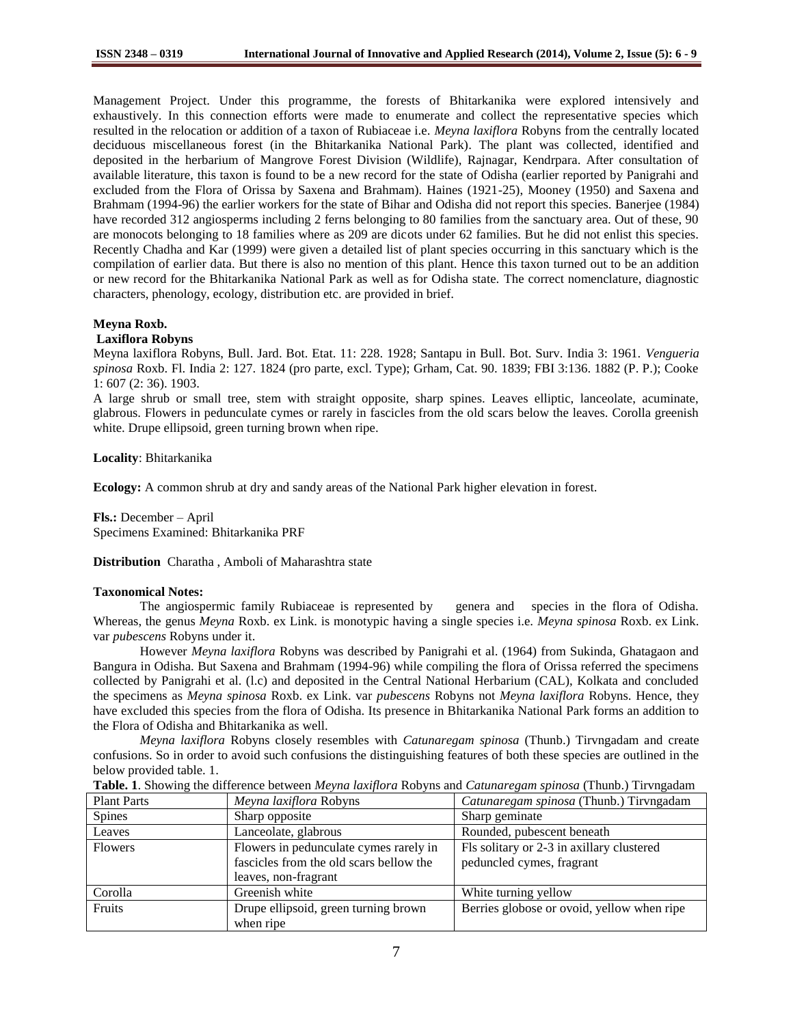Management Project. Under this programme, the forests of Bhitarkanika were explored intensively and exhaustively. In this connection efforts were made to enumerate and collect the representative species which resulted in the relocation or addition of a taxon of Rubiaceae i.e. *Meyna laxiflora* Robyns from the centrally located deciduous miscellaneous forest (in the Bhitarkanika National Park). The plant was collected, identified and deposited in the herbarium of Mangrove Forest Division (Wildlife), Rajnagar, Kendrpara. After consultation of available literature, this taxon is found to be a new record for the state of Odisha (earlier reported by Panigrahi and excluded from the Flora of Orissa by Saxena and Brahmam). Haines (1921-25), Mooney (1950) and Saxena and Brahmam (1994-96) the earlier workers for the state of Bihar and Odisha did not report this species. Banerjee (1984) have recorded 312 angiosperms including 2 ferns belonging to 80 families from the sanctuary area. Out of these, 90 are monocots belonging to 18 families where as 209 are dicots under 62 families. But he did not enlist this species. Recently Chadha and Kar (1999) were given a detailed list of plant species occurring in this sanctuary which is the compilation of earlier data. But there is also no mention of this plant. Hence this taxon turned out to be an addition or new record for the Bhitarkanika National Park as well as for Odisha state. The correct nomenclature, diagnostic characters, phenology, ecology, distribution etc. are provided in brief.

## **Meyna Roxb.**

### **Laxiflora Robyns**

Meyna laxiflora Robyns, Bull. Jard. Bot. Etat. 11: 228. 1928; Santapu in Bull. Bot. Surv. India 3: 1961. *Vengueria spinosa* Roxb. Fl. India 2: 127. 1824 (pro parte, excl. Type); Grham, Cat. 90. 1839; FBI 3:136. 1882 (P. P.); Cooke 1: 607 (2: 36). 1903.

A large shrub or small tree, stem with straight opposite, sharp spines. Leaves elliptic, lanceolate, acuminate, glabrous. Flowers in pedunculate cymes or rarely in fascicles from the old scars below the leaves. Corolla greenish white. Drupe ellipsoid, green turning brown when ripe.

**Locality**: Bhitarkanika

**Ecology:** A common shrub at dry and sandy areas of the National Park higher elevation in forest.

**Fls.:** December – April Specimens Examined: Bhitarkanika PRF

**Distribution** Charatha , Amboli of Maharashtra state

#### **Taxonomical Notes:**

The angiospermic family Rubiaceae is represented by genera and species in the flora of Odisha. Whereas, the genus *Meyna* Roxb. ex Link. is monotypic having a single species i.e. *Meyna spinosa* Roxb. ex Link. var *pubescens* Robyns under it.

However *Meyna laxiflora* Robyns was described by Panigrahi et al. (1964) from Sukinda, Ghatagaon and Bangura in Odisha. But Saxena and Brahmam (1994-96) while compiling the flora of Orissa referred the specimens collected by Panigrahi et al. (l.c) and deposited in the Central National Herbarium (CAL), Kolkata and concluded the specimens as *Meyna spinosa* Roxb. ex Link. var *pubescens* Robyns not *Meyna laxiflora* Robyns. Hence, they have excluded this species from the flora of Odisha. Its presence in Bhitarkanika National Park forms an addition to the Flora of Odisha and Bhitarkanika as well.

*Meyna laxiflora* Robyns closely resembles with *Catunaregam spinosa* (Thunb.) Tirvngadam and create confusions. So in order to avoid such confusions the distinguishing features of both these species are outlined in the below provided table. 1.

| <b>Plant Parts</b> | Meyna laxiflora Robyns                  | Catunaregam spinosa (Thunb.) Tirvngadam    |
|--------------------|-----------------------------------------|--------------------------------------------|
| <b>Spines</b>      | Sharp opposite                          | Sharp geminate                             |
| Leaves             | Lanceolate, glabrous                    | Rounded, pubescent beneath                 |
| <b>Flowers</b>     | Flowers in pedunculate cymes rarely in  | Fls solitary or 2-3 in axillary clustered  |
|                    | fascicles from the old scars bellow the | peduncled cymes, fragrant                  |
|                    | leaves, non-fragrant                    |                                            |
| Corolla            | Greenish white                          | White turning yellow                       |
| <b>Fruits</b>      | Drupe ellipsoid, green turning brown    | Berries globose or ovoid, yellow when ripe |
|                    | when ripe                               |                                            |

**Table. 1**. Showing the difference between *Meyna laxiflora* Robyns and *Catunaregam spinosa* (Thunb.) Tirvngadam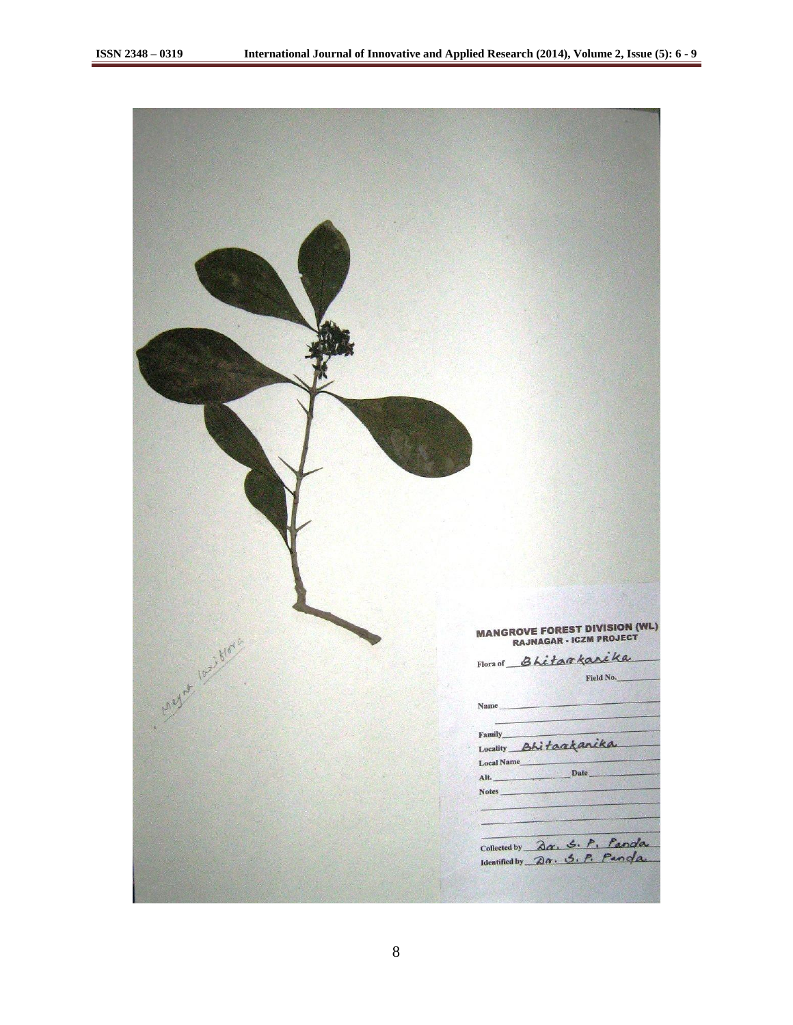